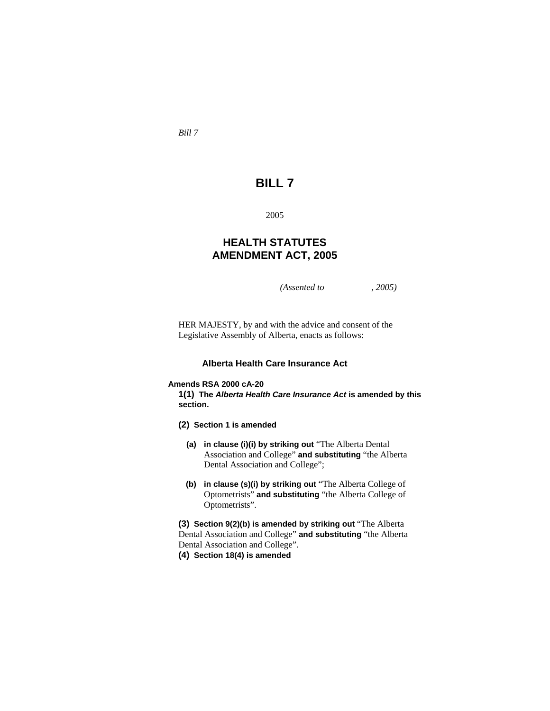*Bill 7* 

# **BILL 7**

2005

## **HEALTH STATUTES AMENDMENT ACT, 2005**

*(Assented to , 2005)* 

HER MAJESTY, by and with the advice and consent of the Legislative Assembly of Alberta, enacts as follows:

### **Alberta Health Care Insurance Act**

### **Amends RSA 2000 cA-20**

**1(1) The** *Alberta Health Care Insurance Act* **is amended by this section.** 

- **(2) Section 1 is amended**
	- **(a) in clause (i)(i) by striking out** "The Alberta Dental Association and College" **and substituting** "the Alberta Dental Association and College";
	- **(b) in clause (s)(i) by striking out** "The Alberta College of Optometrists" **and substituting** "the Alberta College of Optometrists".

**(3) Section 9(2)(b) is amended by striking out** "The Alberta Dental Association and College" **and substituting** "the Alberta Dental Association and College".

**(4) Section 18(4) is amended**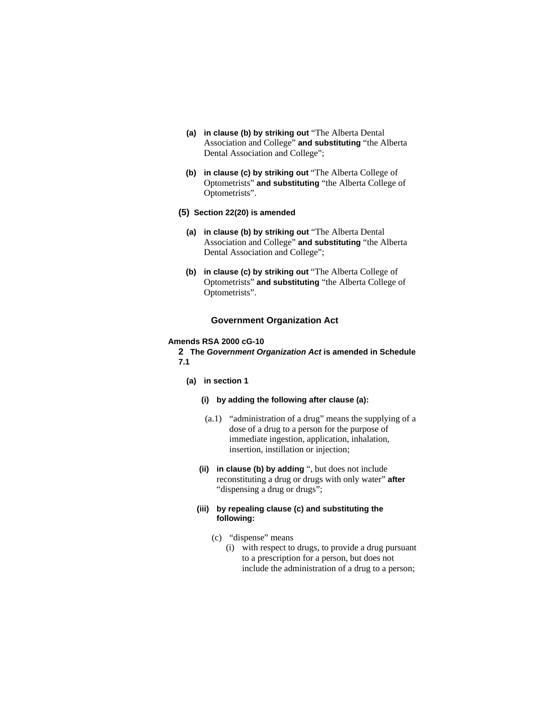- **(a) in clause (b) by striking out** "The Alberta Dental Association and College" **and substituting** "the Alberta Dental Association and College";
- **(b) in clause (c) by striking out** "The Alberta College of Optometrists" **and substituting** "the Alberta College of Optometrists".
- **(5) Section 22(20) is amended**
	- **(a) in clause (b) by striking out** "The Alberta Dental Association and College" **and substituting** "the Alberta Dental Association and College";
	- **(b) in clause (c) by striking out** "The Alberta College of Optometrists" **and substituting** "the Alberta College of Optometrists".

### **Government Organization Act**

### **Amends RSA 2000 cG-10**

**2 The** *Government Organization Act* **is amended in Schedule 7.1** 

- **(a) in section 1** 
	- **(i) by adding the following after clause (a):**
	- (a.1) "administration of a drug" means the supplying of a dose of a drug to a person for the purpose of immediate ingestion, application, inhalation, insertion, instillation or injection;
	- **(ii) in clause (b) by adding** ", but does not include reconstituting a drug or drugs with only water" **after**  "dispensing a drug or drugs";
	- **(iii) by repealing clause (c) and substituting the following:**
		- (c) "dispense" means
			- (i) with respect to drugs, to provide a drug pursuant to a prescription for a person, but does not include the administration of a drug to a person;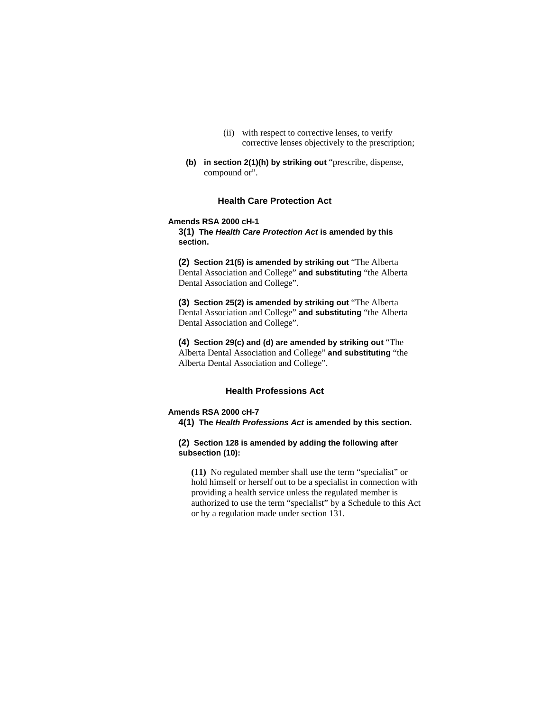- (ii) with respect to corrective lenses, to verify corrective lenses objectively to the prescription;
- **(b) in section 2(1)(h) by striking out** "prescribe, dispense, compound or".

#### **Health Care Protection Act**

#### **Amends RSA 2000 cH-1**

**3(1) The** *Health Care Protection Act* **is amended by this section.** 

**(2) Section 21(5) is amended by striking out** "The Alberta Dental Association and College" **and substituting** "the Alberta Dental Association and College".

**(3) Section 25(2) is amended by striking out** "The Alberta Dental Association and College" **and substituting** "the Alberta Dental Association and College".

**(4) Section 29(c) and (d) are amended by striking out** "The Alberta Dental Association and College" **and substituting** "the Alberta Dental Association and College".

### **Health Professions Act**

#### **Amends RSA 2000 cH-7**

**4(1) The** *Health Professions Act* **is amended by this section.** 

**(2) Section 128 is amended by adding the following after subsection (10):**

**(11)** No regulated member shall use the term "specialist" or hold himself or herself out to be a specialist in connection with providing a health service unless the regulated member is authorized to use the term "specialist" by a Schedule to this Act or by a regulation made under section 131.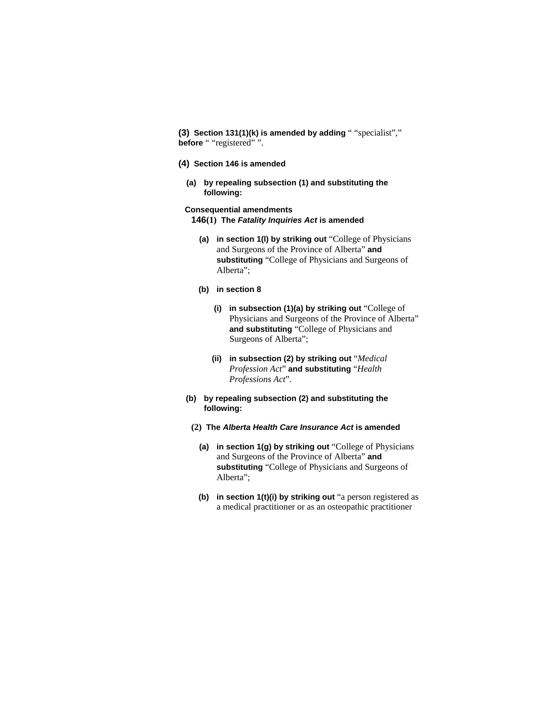**(3) Section 131(1)(k) is amended by adding** " "specialist"," **before** " "registered" ".

- **(4) Section 146 is amended** 
	- **(a) by repealing subsection (1) and substituting the following:**

**Consequential amendments 146(1) The** *Fatality Inquiries Act* **is amended** 

- **(a) in section 1(l) by striking out** "College of Physicians and Surgeons of the Province of Alberta" **and substituting** "College of Physicians and Surgeons of Alberta";
- **(b) in section 8** 
	- **(i) in subsection (1)(a) by striking out** "College of Physicians and Surgeons of the Province of Alberta" **and substituting** "College of Physicians and Surgeons of Alberta";
	- **(ii) in subsection (2) by striking out** "*Medical Profession Act*" **and substituting** "*Health Professions Act*".
- **(b) by repealing subsection (2) and substituting the following:**
- **(2) The** *Alberta Health Care Insurance Act* **is amended** 
	- **(a) in section 1(g) by striking out** "College of Physicians and Surgeons of the Province of Alberta" **and substituting** "College of Physicians and Surgeons of Alberta";
	- **(b) in section 1(t)(i) by striking out** "a person registered as a medical practitioner or as an osteopathic practitioner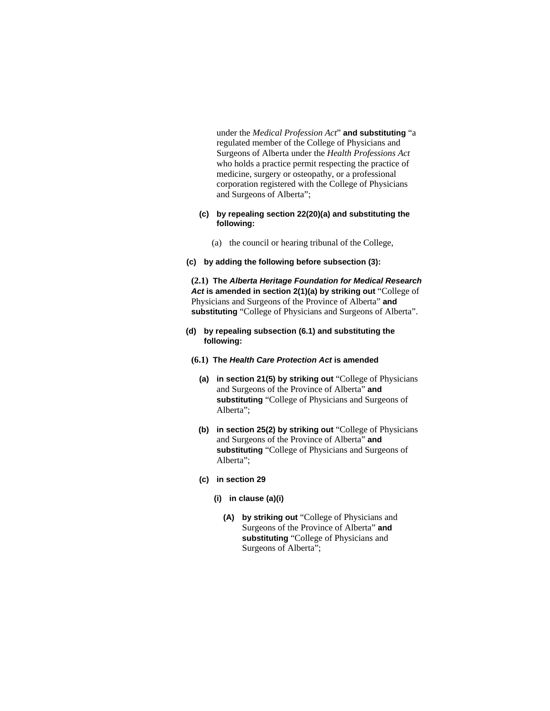under the *Medical Profession Act*" **and substituting** "a regulated member of the College of Physicians and Surgeons of Alberta under the *Health Professions Act* who holds a practice permit respecting the practice of medicine, surgery or osteopathy, or a professional corporation registered with the College of Physicians and Surgeons of Alberta";

#### **(c) by repealing section 22(20)(a) and substituting the following:**

- (a) the council or hearing tribunal of the College,
- **(c) by adding the following before subsection (3):**

**(2.1) The** *Alberta Heritage Foundation for Medical Research Act* **is amended in section 2(1)(a) by striking out** "College of Physicians and Surgeons of the Province of Alberta" **and substituting** "College of Physicians and Surgeons of Alberta".

- **(d) by repealing subsection (6.1) and substituting the following:** 
	- **(6.1) The** *Health Care Protection Act* **is amended** 
		- **(a) in section 21(5) by striking out** "College of Physicians and Surgeons of the Province of Alberta" **and substituting** "College of Physicians and Surgeons of Alberta";
		- **(b) in section 25(2) by striking out** "College of Physicians and Surgeons of the Province of Alberta" **and substituting** "College of Physicians and Surgeons of Alberta";
		- **(c) in section 29** 
			- **(i) in clause (a)(i)** 
				- **(A) by striking out** "College of Physicians and Surgeons of the Province of Alberta" **and substituting** "College of Physicians and Surgeons of Alberta";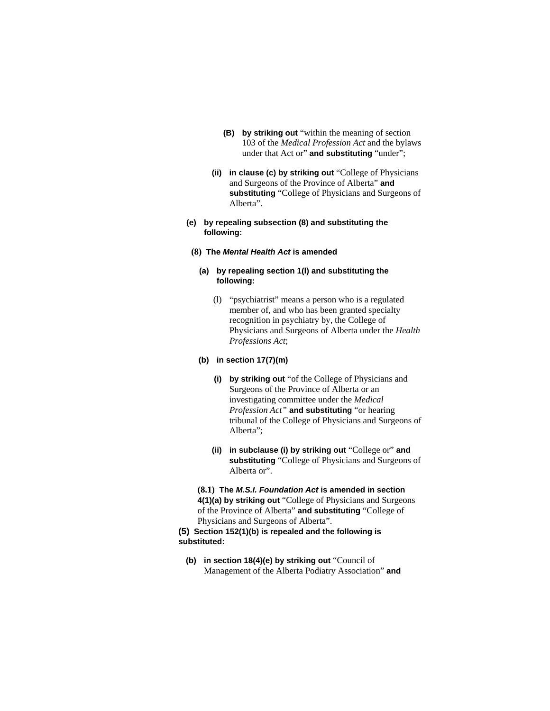- **(B) by striking out** "within the meaning of section 103 of the *Medical Profession Act* and the bylaws under that Act or" **and substituting** "under";
- **(ii) in clause (c) by striking out** "College of Physicians and Surgeons of the Province of Alberta" **and substituting** "College of Physicians and Surgeons of Alberta".

### **(e) by repealing subsection (8) and substituting the following:**

**(8) The** *Mental Health Act* **is amended** 

### **(a) by repealing section 1(l) and substituting the following:**

 (l) "psychiatrist" means a person who is a regulated member of, and who has been granted specialty recognition in psychiatry by, the College of Physicians and Surgeons of Alberta under the *Health Professions Act*;

### **(b) in section 17(7)(m)**

- **(i) by striking out** "of the College of Physicians and Surgeons of the Province of Alberta or an investigating committee under the *Medical Profession Act"* **and substituting** "or hearing tribunal of the College of Physicians and Surgeons of Alberta";
- **(ii) in subclause (i) by striking out** "College or" **and substituting** "College of Physicians and Surgeons of Alberta or".

**(8.1) The** *M.S.I. Foundation Act* **is amended in section 4(1)(a) by striking out** "College of Physicians and Surgeons of the Province of Alberta" **and substituting** "College of Physicians and Surgeons of Alberta".

**(5) Section 152(1)(b) is repealed and the following is substituted:**

**(b) in section 18(4)(e) by striking out** "Council of Management of the Alberta Podiatry Association" **and**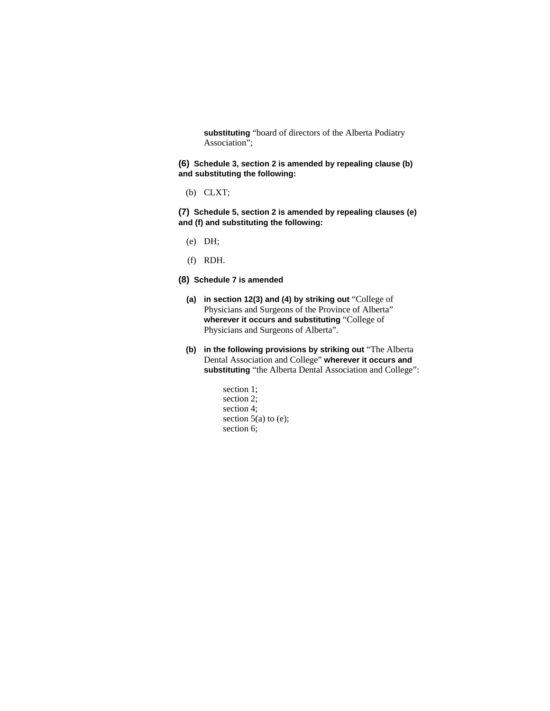**substituting** "board of directors of the Alberta Podiatry Association";

**(6) Schedule 3, section 2 is amended by repealing clause (b) and substituting the following:** 

(b) CLXT;

**(7) Schedule 5, section 2 is amended by repealing clauses (e) and (f) and substituting the following:** 

- (e) DH;
- (f) RDH.

#### **(8) Schedule 7 is amended**

- **(a) in section 12(3) and (4) by striking out** "College of Physicians and Surgeons of the Province of Alberta" **wherever it occurs and substituting** "College of Physicians and Surgeons of Alberta".
- **(b) in the following provisions by striking out** "The Alberta Dental Association and College" **wherever it occurs and substituting** "the Alberta Dental Association and College":
	- section 1; section 2; section 4; section  $5(a)$  to (e); section 6;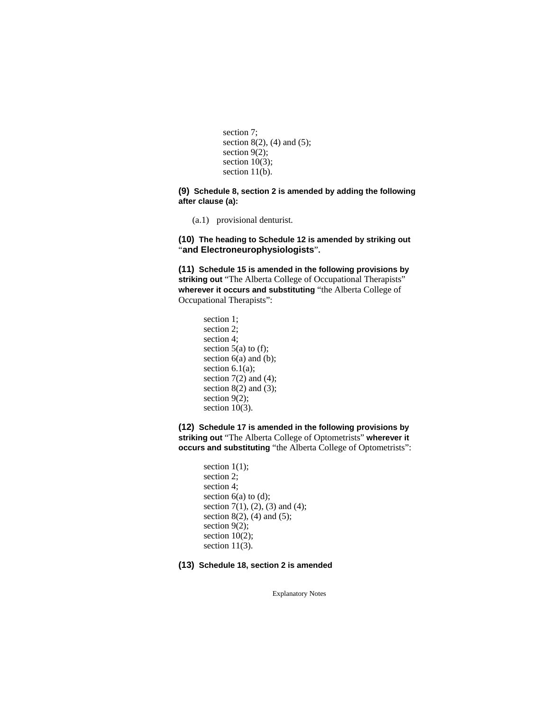```
section 7; 
section 8(2), (4) and (5);
section 9(2);
section 10(3);
section 11(b).
```
**(9) Schedule 8, section 2 is amended by adding the following after clause (a):** 

(a.1) provisional denturist.

**(10) The heading to Schedule 12 is amended by striking out**  "**and Electroneurophysiologists**"**.**

**(11) Schedule 15 is amended in the following provisions by striking out** "The Alberta College of Occupational Therapists" **wherever it occurs and substituting** "the Alberta College of Occupational Therapists":

> section 1; section 2; section 4; section  $5(a)$  to (f); section 6(a) and (b); section  $6.1(a)$ ; section  $7(2)$  and  $(4)$ ; section  $8(2)$  and  $(3)$ ; section 9(2); section 10(3).

**(12) Schedule 17 is amended in the following provisions by striking out** "The Alberta College of Optometrists" **wherever it occurs and substituting** "the Alberta College of Optometrists":

> section  $1(1)$ ; section 2; section 4; section 6(a) to (d); section 7(1), (2), (3) and (4); section 8(2), (4) and (5); section 9(2); section  $10(2)$ ; section 11(3).

**(13) Schedule 18, section 2 is amended**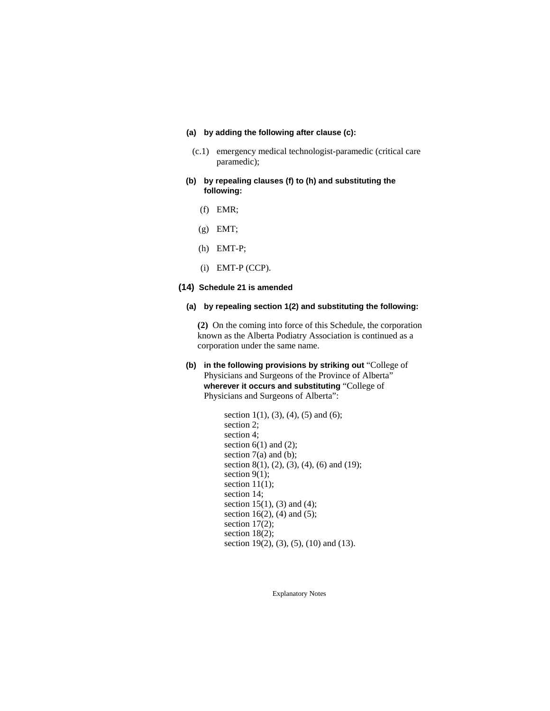### **(a) by adding the following after clause (c):**

- (c.1) emergency medical technologist-paramedic (critical care paramedic);
- **(b) by repealing clauses (f) to (h) and substituting the following:** 
	- (f) EMR;
	- (g) EMT;
	- (h) EMT-P;
	- (i) EMT-P (CCP).

### **(14) Schedule 21 is amended**

**(a) by repealing section 1(2) and substituting the following:** 

**(2)** On the coming into force of this Schedule, the corporation known as the Alberta Podiatry Association is continued as a corporation under the same name.

### **(b) in the following provisions by striking out** "College of Physicians and Surgeons of the Province of Alberta" **wherever it occurs and substituting** "College of Physicians and Surgeons of Alberta":

section 1(1), (3), (4), (5) and (6); section 2; section 4; section  $6(1)$  and  $(2)$ ; section  $7(a)$  and (b); section 8(1), (2), (3), (4), (6) and (19); section 9(1); section  $11(1)$ ; section 14; section 15(1), (3) and (4); section 16(2), (4) and (5); section 17(2); section 18(2); section 19(2), (3), (5), (10) and (13).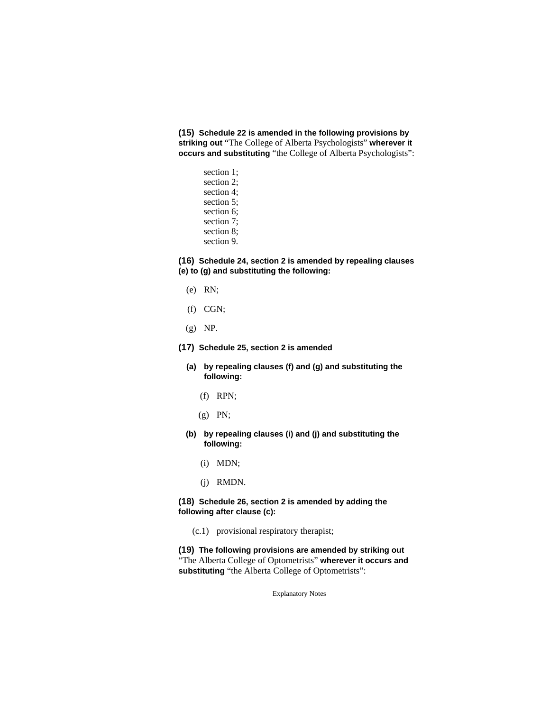**(15) Schedule 22 is amended in the following provisions by striking out** "The College of Alberta Psychologists" **wherever it occurs and substituting** "the College of Alberta Psychologists":

> section 1; section 2; section 4; section 5; section 6; section 7; section 8; section 9.

**(16) Schedule 24, section 2 is amended by repealing clauses (e) to (g) and substituting the following:** 

- (e) RN;
- (f) CGN;
- (g) NP.
- **(17) Schedule 25, section 2 is amended**
	- **(a) by repealing clauses (f) and (g) and substituting the following:** 
		- (f) RPN;
		- (g) PN;
	- **(b) by repealing clauses (i) and (j) and substituting the following:** 
		- (i) MDN;
		- (j) RMDN.

#### **(18) Schedule 26, section 2 is amended by adding the following after clause (c):**

(c.1) provisional respiratory therapist;

**(19) The following provisions are amended by striking out**  "The Alberta College of Optometrists" **wherever it occurs and substituting** "the Alberta College of Optometrists":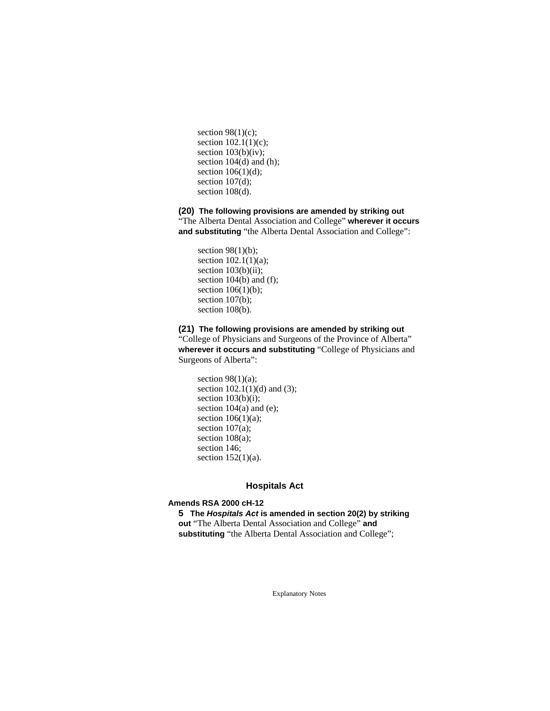section  $98(1)(c)$ ; section 102.1(1)(c); section 103(b)(iv); section 104(d) and (h); section 106(1)(d); section 107(d); section 108(d).

**(20) The following provisions are amended by striking out**  "The Alberta Dental Association and College" **wherever it occurs and substituting** "the Alberta Dental Association and College":

section  $98(1)(b)$ ; section 102.1(1)(a); section  $103(b)(ii)$ ; section 104(b) and (f); section  $106(1)(b)$ ; section 107(b); section 108(b).

**(21) The following provisions are amended by striking out** 

"College of Physicians and Surgeons of the Province of Alberta" **wherever it occurs and substituting** "College of Physicians and Surgeons of Alberta":

section  $98(1)(a)$ ; section 102.1(1)(d) and (3); section 103(b)(i); section  $104(a)$  and (e); section  $106(1)(a)$ ; section 107(a); section 108(a); section 146; section  $152(1)(a)$ .

### **Hospitals Act**

### **Amends RSA 2000 cH-12**

**5 The** *Hospitals Act* **is amended in section 20(2) by striking out** "The Alberta Dental Association and College" **and**  substituting "the Alberta Dental Association and College";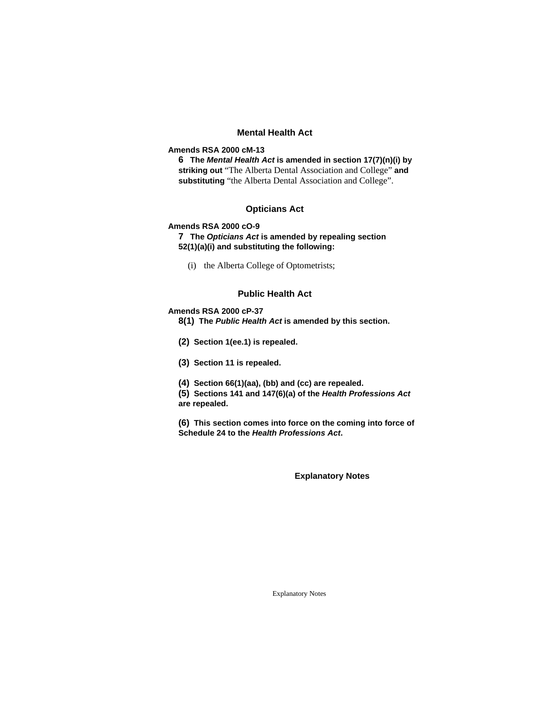### **Mental Health Act**

### **Amends RSA 2000 cM-13**

**6 The** *Mental Health Act* **is amended in section 17(7)(n)(i) by striking out** "The Alberta Dental Association and College" **and substituting** "the Alberta Dental Association and College".

### **Opticians Act**

#### **Amends RSA 2000 cO-9**

**7 The** *Opticians Act* **is amended by repealing section 52(1)(a)(i) and substituting the following:** 

(i) the Alberta College of Optometrists;

### **Public Health Act**

### **Amends RSA 2000 cP-37**

**8(1) The** *Public Health Act* **is amended by this section.** 

- **(2) Section 1(ee.1) is repealed.**
- **(3) Section 11 is repealed.**
- **(4) Section 66(1)(aa), (bb) and (cc) are repealed.**

**(5) Sections 141 and 147(6)(a) of the** *Health Professions Act* **are repealed.**

**(6) This section comes into force on the coming into force of Schedule 24 to the** *Health Professions Act***.** 

**Explanatory Notes**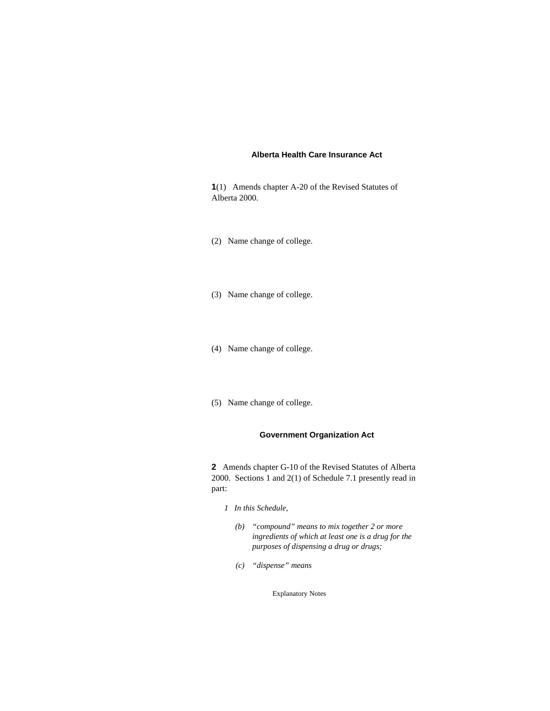#### **Alberta Health Care Insurance Act**

**1**(1) Amends chapter A-20 of the Revised Statutes of Alberta 2000.

- (2) Name change of college.
- (3) Name change of college.
- (4) Name change of college.
- (5) Name change of college.

### **Government Organization Act**

**2** Amends chapter G-10 of the Revised Statutes of Alberta 2000. Sections 1 and 2(1) of Schedule 7.1 presently read in part:

- *1 In this Schedule,* 
	- *(b) "compound" means to mix together 2 or more ingredients of which at least one is a drug for the purposes of dispensing a drug or drugs;*
	- *(c) "dispense" means*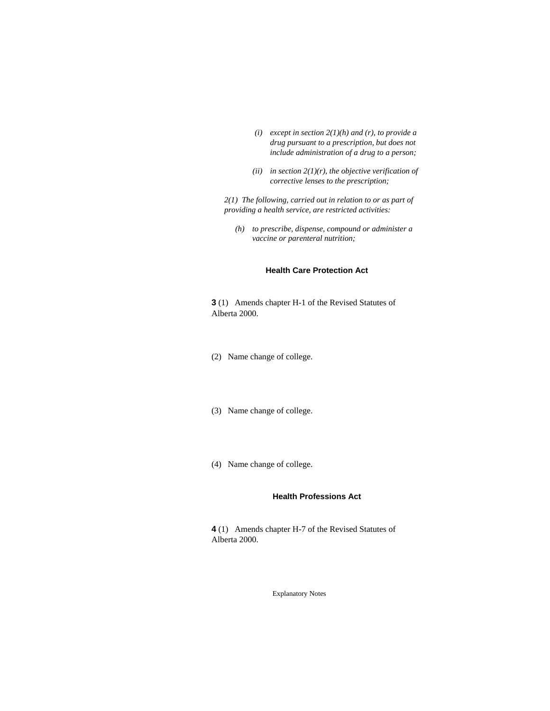- *(i) except in section 2(1)(h) and (r), to provide a drug pursuant to a prescription, but does not include administration of a drug to a person;*
- (*ii*) in section  $2(1)(r)$ , the objective verification of *corrective lenses to the prescription;*

*2(1) The following, carried out in relation to or as part of providing a health service, are restricted activities:* 

*(h) to prescribe, dispense, compound or administer a vaccine or parenteral nutrition;* 

#### **Health Care Protection Act**

**3** (1) Amends chapter H-1 of the Revised Statutes of Alberta 2000.

- (2) Name change of college.
- (3) Name change of college.
- (4) Name change of college.

## **Health Professions Act**

**4** (1) Amends chapter H-7 of the Revised Statutes of Alberta 2000.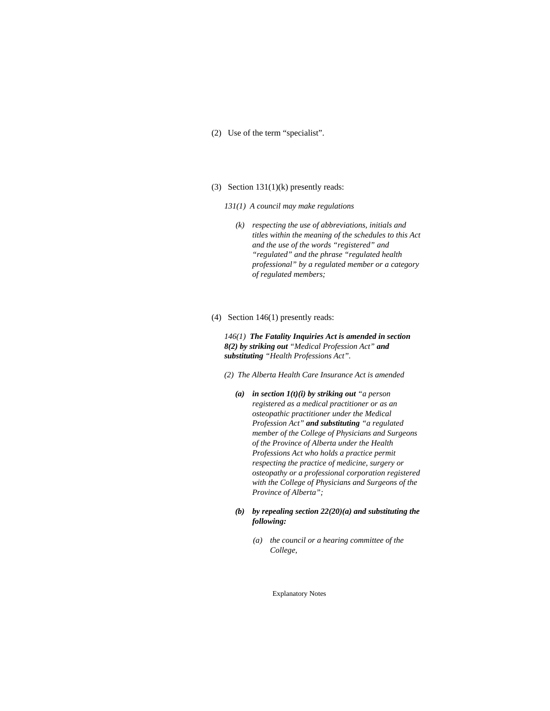- (2) Use of the term "specialist".
- (3) Section 131(1)(k) presently reads:
	- *131(1) A council may make regulations* 
		- *(k) respecting the use of abbreviations, initials and titles within the meaning of the schedules to this Act and the use of the words "registered" and "regulated" and the phrase "regulated health professional" by a regulated member or a category of regulated members;*
- (4) Section 146(1) presently reads:

*146(1) The Fatality Inquiries Act is amended in section 8(2) by striking out "Medical Profession Act" and substituting "Health Professions Act".* 

- *(2) The Alberta Health Care Insurance Act is amended* 
	- *(a) in section 1(t)(i) by striking out "a person registered as a medical practitioner or as an osteopathic practitioner under the Medical Profession Act" and substituting "a regulated member of the College of Physicians and Surgeons of the Province of Alberta under the Health Professions Act who holds a practice permit respecting the practice of medicine, surgery or osteopathy or a professional corporation registered with the College of Physicians and Surgeons of the Province of Alberta";*
	- *(b) by repealing section 22(20)(a) and substituting the following:* 
		- *(a) the council or a hearing committee of the College,*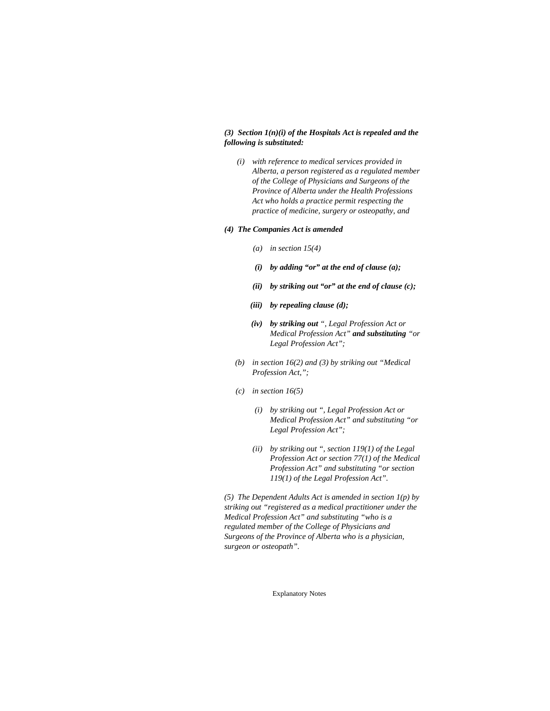### *(3) Section 1(n)(i) of the Hospitals Act is repealed and the following is substituted:*

 *(i) with reference to medical services provided in Alberta, a person registered as a regulated member of the College of Physicians and Surgeons of the Province of Alberta under the Health Professions Act who holds a practice permit respecting the practice of medicine, surgery or osteopathy, and* 

#### *(4) The Companies Act is amended*

- *(a) in section 15(4)*
- *(i) by adding "or" at the end of clause (a);*
- *(ii) by striking out "or" at the end of clause (c);*
- *(iii) by repealing clause (d);*
- *(iv) by striking out ", Legal Profession Act or Medical Profession Act" and substituting "or Legal Profession Act";*
- *(b) in section 16(2) and (3) by striking out "Medical Profession Act,";*
- *(c) in section 16(5)* 
	- *(i) by striking out ", Legal Profession Act or Medical Profession Act" and substituting "or Legal Profession Act";*
	- *(ii) by striking out ", section 119(1) of the Legal Profession Act or section 77(1) of the Medical Profession Act" and substituting "or section 119(1) of the Legal Profession Act".*

*(5) The Dependent Adults Act is amended in section 1(p) by striking out "registered as a medical practitioner under the Medical Profession Act" and substituting "who is a regulated member of the College of Physicians and Surgeons of the Province of Alberta who is a physician, surgeon or osteopath".*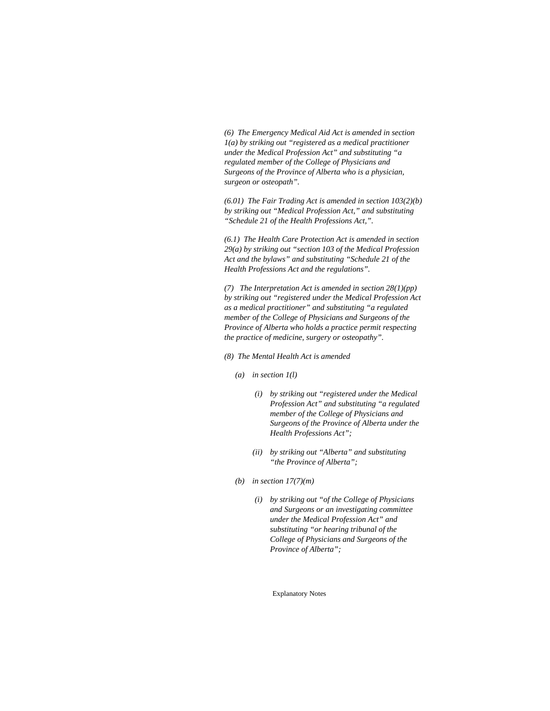*(6) The Emergency Medical Aid Act is amended in section 1(a) by striking out "registered as a medical practitioner under the Medical Profession Act" and substituting "a regulated member of the College of Physicians and Surgeons of the Province of Alberta who is a physician, surgeon or osteopath".* 

*(6.01) The Fair Trading Act is amended in section 103(2)(b) by striking out "Medical Profession Act," and substituting "Schedule 21 of the Health Professions Act,".* 

*(6.1) The Health Care Protection Act is amended in section 29(a) by striking out "section 103 of the Medical Profession Act and the bylaws" and substituting "Schedule 21 of the Health Professions Act and the regulations".* 

*(7) The Interpretation Act is amended in section 28(1)(pp) by striking out "registered under the Medical Profession Act as a medical practitioner" and substituting "a regulated member of the College of Physicians and Surgeons of the Province of Alberta who holds a practice permit respecting the practice of medicine, surgery or osteopathy".* 

*(8) The Mental Health Act is amended* 

- *(a) in section 1(l)* 
	- *(i) by striking out "registered under the Medical Profession Act" and substituting "a regulated member of the College of Physicians and Surgeons of the Province of Alberta under the Health Professions Act";*
	- *(ii) by striking out "Alberta" and substituting "the Province of Alberta";*
- *(b) in section 17(7)(m)* 
	- *(i) by striking out "of the College of Physicians and Surgeons or an investigating committee under the Medical Profession Act" and substituting "or hearing tribunal of the College of Physicians and Surgeons of the Province of Alberta";*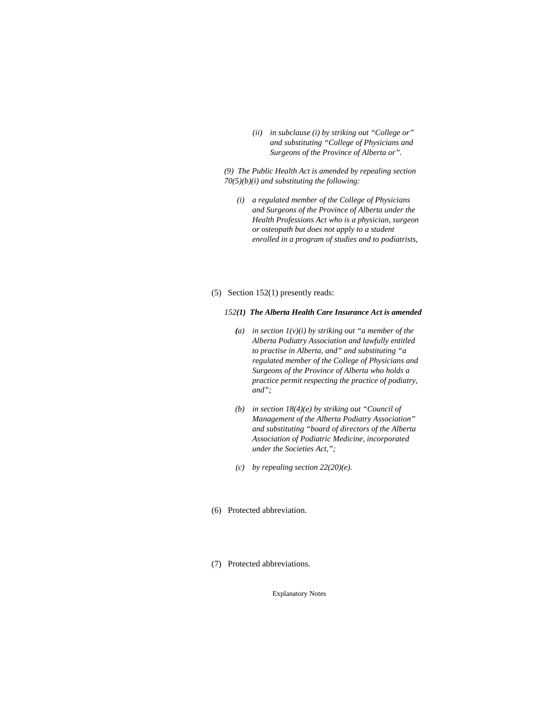*(ii) in subclause (i) by striking out "College or" and substituting "College of Physicians and Surgeons of the Province of Alberta or".* 

*(9) The Public Health Act is amended by repealing section 70(5)(b)(i) and substituting the following:* 

- *(i) a regulated member of the College of Physicians and Surgeons of the Province of Alberta under the Health Professions Act who is a physician, surgeon or osteopath but does not apply to a student enrolled in a program of studies and to podiatrists,*
- (5) Section 152(1) presently reads:

#### *152(1) The Alberta Health Care Insurance Act is amended*

- *(a) in section 1(v)(i) by striking out "a member of the Alberta Podiatry Association and lawfully entitled to practise in Alberta, and" and substituting "a regulated member of the College of Physicians and Surgeons of the Province of Alberta who holds a practice permit respecting the practice of podiatry, and";*
- *(b) in section 18(4)(e) by striking out "Council of Management of the Alberta Podiatry Association" and substituting "board of directors of the Alberta Association of Podiatric Medicine, incorporated under the Societies Act,";*
- *(c) by repealing section 22(20)(e).*
- (6) Protected abbreviation.
- (7) Protected abbreviations.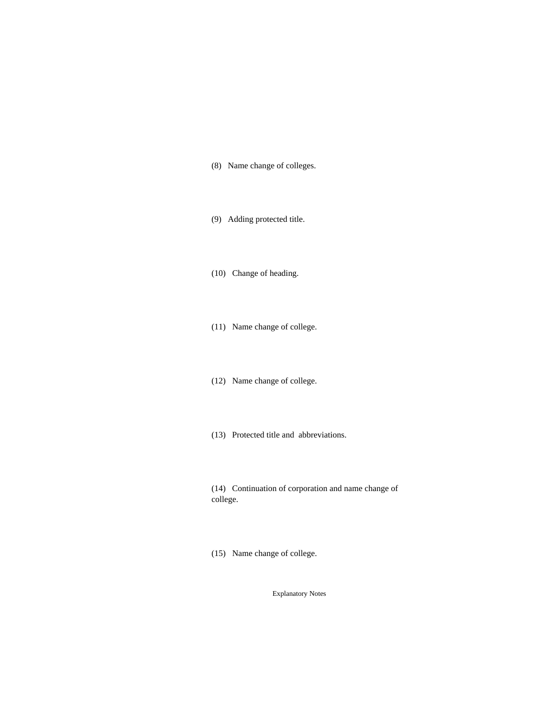- (8) Name change of colleges.
- (9) Adding protected title.
- (10) Change of heading.
- (11) Name change of college.
- (12) Name change of college.
- (13) Protected title and abbreviations.

(14) Continuation of corporation and name change of college.

(15) Name change of college.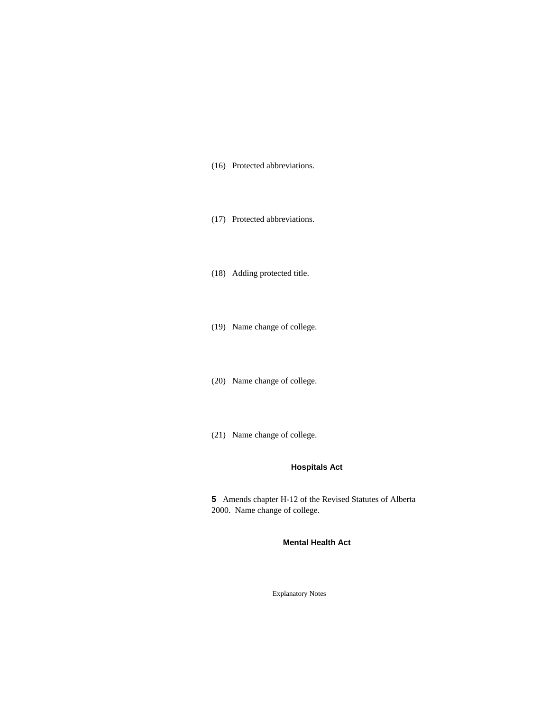- (16) Protected abbreviations.
- (17) Protected abbreviations.
- (18) Adding protected title.
- (19) Name change of college.
- (20) Name change of college.
- (21) Name change of college.

### **Hospitals Act**

**5** Amends chapter H-12 of the Revised Statutes of Alberta 2000. Name change of college.

**Mental Health Act**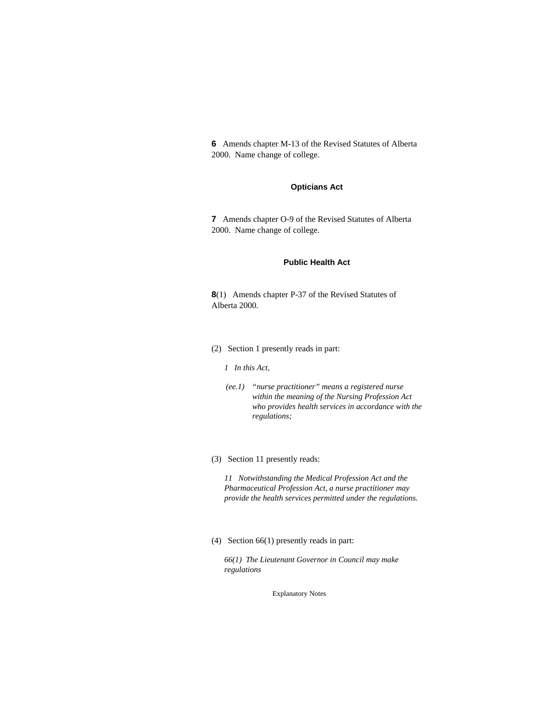**6** Amends chapter M-13 of the Revised Statutes of Alberta 2000. Name change of college.

### **Opticians Act**

**7** Amends chapter O-9 of the Revised Statutes of Alberta 2000. Name change of college.

### **Public Health Act**

**8**(1) Amends chapter P-37 of the Revised Statutes of Alberta 2000.

(2) Section 1 presently reads in part:

#### *1 In this Act,*

- *(ee.1) "nurse practitioner" means a registered nurse within the meaning of the Nursing Profession Act who provides health services in accordance with the regulations;*
- (3) Section 11 presently reads:

*11 Notwithstanding the Medical Profession Act and the Pharmaceutical Profession Act, a nurse practitioner may provide the health services permitted under the regulations.* 

(4) Section 66(1) presently reads in part:

*66(1) The Lieutenant Governor in Council may make regulations*